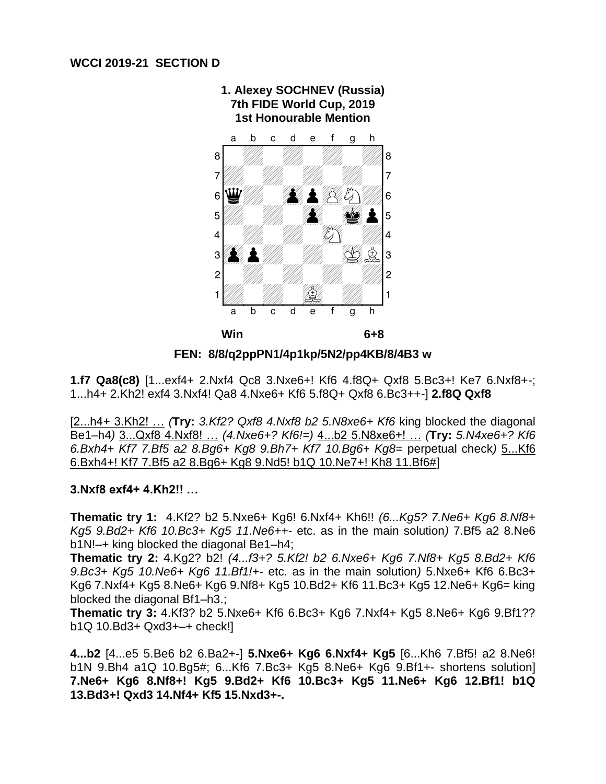

**1. Alexey SOCHNEV (Russia) 7th FIDE World Cup, 2019**

**FEN: 8/8/q2ppPN1/4p1kp/5N2/pp4KB/8/4B3 w**

**1.f7 Qa8(c8)** [1...exf4+ 2.Nxf4 Qc8 3.Nxe6+! Kf6 4.f8Q+ Qxf8 5.Bc3+! Ke7 6.Nxf8+-; 1...h4+ 2.Kh2! exf4 3.Nxf4! Qa8 4.Nxe6+ Kf6 5.f8Q+ Qxf8 6.Bc3++-] **2.f8Q Qxf8** 

[2...h4+ 3.Kh2! … *(***Try:** *3.Kf2? Qxf8 4.Nxf8 b2 5.N8xe6+ Kf6* king blocked the diagonal Be1–h4*)* 3...Qxf8 4.Nxf8! … *(4.Nxe6+? Kf6!=)* 4...b2 5.N8xe6+! … *(***Try:** *5.N4xe6+? Kf6 6.Bxh4+ Kf7 7.Bf5 a2 8.Bg6+ Kg8 9.Bh7+ Kf7 10.Bg6+ Kg8=* perpetual check*)* 5...Kf6 6.Bxh4+! Kf7 7.Bf5 a2 8.Bg6+ Kg8 9.Nd5! b1Q 10.Ne7+! Kh8 11.Bf6#]

## **3.Nxf8 exf4+ 4.Kh2!! …**

**Thematic try 1:** 4.Kf2? b2 5.Nxe6+ Kg6! 6.Nxf4+ Kh6!! *(6...Kg5? 7.Ne6+ Kg6 8.Nf8+ Kg5 9.Bd2+ Kf6 10.Bc3+ Kg5 11.Ne6++-* etc. as in the main solution*)* 7.Bf5 a2 8.Ne6 b1N!–+ king blocked the diagonal Be1–h4;

**Thematic try 2:** 4.Kg2? b2! *(4...f3+? 5.Kf2! b2 6.Nxe6+ Kg6 7.Nf8+ Kg5 8.Bd2+ Kf6 9.Bc3+ Kg5 10.Ne6+ Kg6 11.Bf1!+-* etc. as in the main solution*)* 5.Nxe6+ Kf6 6.Bc3+ Kg6 7.Nxf4+ Kg5 8.Ne6+ Kg6 9.Nf8+ Kg5 10.Bd2+ Kf6 11.Bc3+ Kg5 12.Ne6+ Kg6= king blocked the diagonal Bf1–h3.;

**Thematic try 3:** 4.Kf3? b2 5.Nxe6+ Kf6 6.Bc3+ Kg6 7.Nxf4+ Kg5 8.Ne6+ Kg6 9.Bf1?? b1Q 10.Bd3+ Qxd3+–+ check!]

**4...b2** [4...e5 5.Be6 b2 6.Ba2+-] **5.Nxe6+ Kg6 6.Nxf4+ Kg5** [6...Kh6 7.Bf5! a2 8.Ne6! b1N 9.Bh4 a1Q 10.Bg5#; 6...Kf6 7.Bc3+ Kg5 8.Ne6+ Kg6 9.Bf1+- shortens solution] **7.Ne6+ Kg6 8.Nf8+! Kg5 9.Bd2+ Kf6 10.Bc3+ Kg5 11.Ne6+ Kg6 12.Bf1! b1Q 13.Bd3+! Qxd3 14.Nf4+ Kf5 15.Nxd3+-.**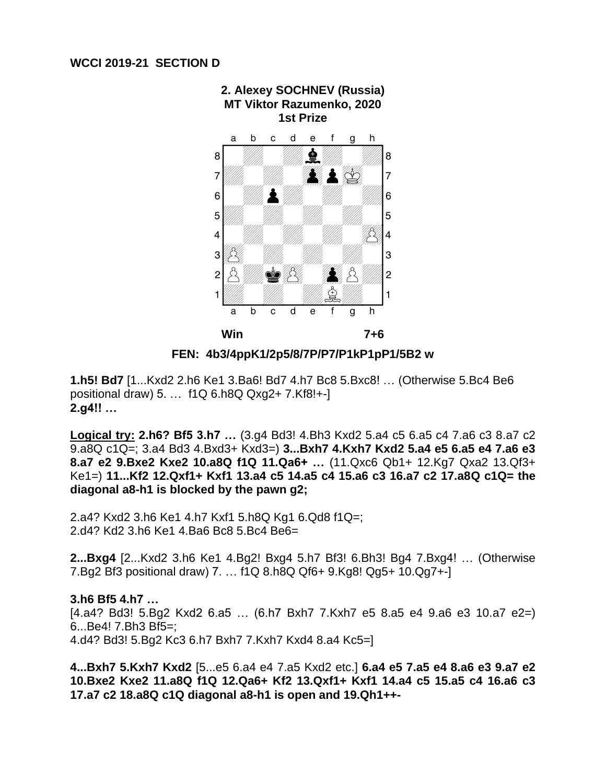

**FEN: 4b3/4ppK1/2p5/8/7P/P7/P1kP1pP1/5B2 w**

**1.h5! Bd7** [1...Kxd2 2.h6 Ke1 3.Ba6! Bd7 4.h7 Bc8 5.Bxc8! … (Otherwise 5.Bc4 Be6 positional draw) 5. … f1Q 6.h8Q Qxg2+ 7.Kf8!+-] **2.g4!! …** 

**Logical try: 2.h6? Bf5 3.h7 …** (3.g4 Bd3! 4.Bh3 Kxd2 5.a4 c5 6.a5 c4 7.a6 c3 8.a7 c2 9.a8Q c1Q=; 3.a4 Bd3 4.Bxd3+ Kxd3=) **3...Bxh7 4.Kxh7 Kxd2 5.a4 e5 6.a5 e4 7.a6 e3 8.a7 e2 9.Bxe2 Kxe2 10.a8Q f1Q 11.Qa6+ …** (11.Qxc6 Qb1+ 12.Kg7 Qxa2 13.Qf3+ Ke1=) **11...Kf2 12.Qxf1+ Kxf1 13.a4 c5 14.a5 c4 15.a6 c3 16.a7 c2 17.a8Q c1Q= the diagonal a8-h1 is blocked by the pawn g2;**

2.a4? Kxd2 3.h6 Ke1 4.h7 Kxf1 5.h8Q Kg1 6.Qd8 f1Q=; 2.d4? Kd2 3.h6 Ke1 4.Ba6 Bc8 5.Bc4 Be6=

**2...Bxg4** [2...Kxd2 3.h6 Ke1 4.Bg2! Bxg4 5.h7 Bf3! 6.Bh3! Bg4 7.Bxg4! … (Otherwise 7.Bg2 Bf3 positional draw) 7. … f1Q 8.h8Q Qf6+ 9.Kg8! Qg5+ 10.Qg7+-]

**3.h6 Bf5 4.h7 …**  [4.a4? Bd3! 5.Bg2 Kxd2 6.a5 … (6.h7 Bxh7 7.Kxh7 e5 8.a5 e4 9.a6 e3 10.a7 e2=) 6...Be4! 7.Bh3 Bf5=; 4.d4? Bd3! 5.Bg2 Kc3 6.h7 Bxh7 7.Kxh7 Kxd4 8.a4 Kc5=]

**4...Bxh7 5.Kxh7 Kxd2** [5...e5 6.a4 e4 7.a5 Kxd2 etc.] **6.a4 e5 7.a5 e4 8.a6 e3 9.a7 e2 10.Bxe2 Kxe2 11.a8Q f1Q 12.Qa6+ Kf2 13.Qxf1+ Kxf1 14.a4 c5 15.a5 c4 16.a6 c3 17.a7 c2 18.a8Q c1Q diagonal a8-h1 is open and 19.Qh1++-**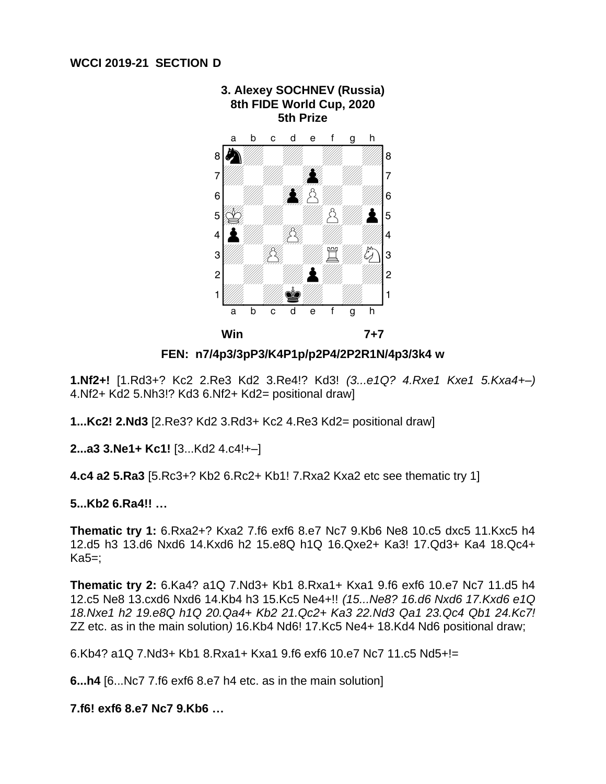

**3. Alexey SOCHNEV (Russia)**

**FEN: n7/4p3/3pP3/K4P1p/p2P4/2P2R1N/4p3/3k4 w**

**1.Nf2+!** [1.Rd3+? Kc2 2.Re3 Kd2 3.Re4!? Kd3! *(3...e1Q? 4.Rxe1 Kxe1 5.Kxa4+–)*  4.Nf2+ Kd2 5.Nh3!? Kd3 6.Nf2+ Kd2= positional draw]

**1...Kc2! 2.Nd3** [2.Re3? Kd2 3.Rd3+ Kc2 4.Re3 Kd2= positional draw]

**2...a3 3.Ne1+ Kc1!** [3...Kd2 4.c4!+–]

**4.c4 a2 5.Ra3** [5.Rc3+? Kb2 6.Rc2+ Kb1! 7.Rxa2 Kxa2 etc see thematic try 1]

## **5...Kb2 6.Ra4!! …**

**Thematic try 1:** 6.Rxa2+? Kxa2 7.f6 exf6 8.e7 Nc7 9.Kb6 Ne8 10.c5 dxc5 11.Kxc5 h4 12.d5 h3 13.d6 Nxd6 14.Kxd6 h2 15.e8Q h1Q 16.Qxe2+ Ka3! 17.Qd3+ Ka4 18.Qc4+ Ka5=;

**Thematic try 2:** 6.Ka4? a1Q 7.Nd3+ Kb1 8.Rxa1+ Kxa1 9.f6 exf6 10.e7 Nc7 11.d5 h4 12.c5 Ne8 13.cxd6 Nxd6 14.Kb4 h3 15.Kc5 Ne4+!! *(15...Ne8? 16.d6 Nxd6 17.Kxd6 e1Q 18.Nxe1 h2 19.e8Q h1Q 20.Qa4+ Kb2 21.Qc2+ Ka3 22.Nd3 Qa1 23.Qc4 Qb1 24.Kc7!*  ZZ etc. as in the main solution*)* 16.Kb4 Nd6! 17.Kc5 Ne4+ 18.Kd4 Nd6 positional draw;

6.Kb4? a1Q 7.Nd3+ Kb1 8.Rxa1+ Kxa1 9.f6 exf6 10.e7 Nc7 11.c5 Nd5+!=

**6...h4** [6...Nc7 7.f6 exf6 8.e7 h4 etc. as in the main solution]

**7.f6! exf6 8.e7 Nc7 9.Kb6 …**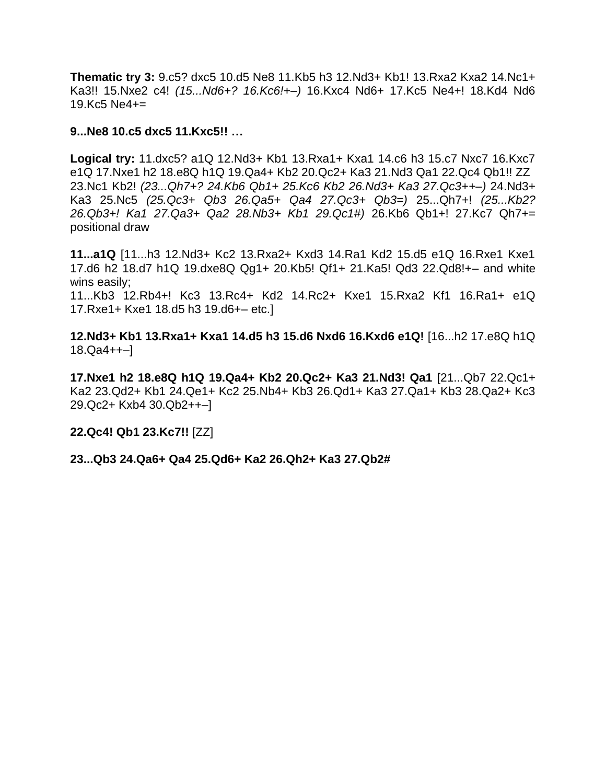**Thematic try 3:** 9.c5? dxc5 10.d5 Ne8 11.Kb5 h3 12.Nd3+ Kb1! 13.Rxa2 Kxa2 14.Nc1+ Ka3!! 15.Nxe2 c4! *(15...Nd6+? 16.Kc6!+–)* 16.Kxc4 Nd6+ 17.Kc5 Ne4+! 18.Kd4 Nd6 19.Kc5 Ne4+=

### **9...Ne8 10.c5 dxc5 11.Kxc5!! …**

**Logical try:** 11.dxc5? a1Q 12.Nd3+ Kb1 13.Rxa1+ Kxa1 14.c6 h3 15.c7 Nxc7 16.Kxc7 e1Q 17.Nxe1 h2 18.e8Q h1Q 19.Qa4+ Kb2 20.Qc2+ Ka3 21.Nd3 Qa1 22.Qc4 Qb1!! ZZ 23.Nc1 Kb2! *(23...Qh7+? 24.Kb6 Qb1+ 25.Kc6 Kb2 26.Nd3+ Ka3 27.Qc3++–)* 24.Nd3+ Ka3 25.Nc5 *(25.Qc3+ Qb3 26.Qa5+ Qa4 27.Qc3+ Qb3=)* 25...Qh7+! *(25...Kb2? 26.Qb3+! Ka1 27.Qa3+ Qa2 28.Nb3+ Kb1 29.Qc1#)* 26.Kb6 Qb1+! 27.Kc7 Qh7+= positional draw

**11...a1Q** [11...h3 12.Nd3+ Kc2 13.Rxa2+ Kxd3 14.Ra1 Kd2 15.d5 e1Q 16.Rxe1 Kxe1 17.d6 h2 18.d7 h1Q 19.dxe8Q Qg1+ 20.Kb5! Qf1+ 21.Ka5! Qd3 22.Qd8!+– and white wins easily;

11...Kb3 12.Rb4+! Kc3 13.Rc4+ Kd2 14.Rc2+ Kxe1 15.Rxa2 Kf1 16.Ra1+ e1Q 17.Rxe1+ Kxe1 18.d5 h3 19.d6+– etc.]

**12.Nd3+ Kb1 13.Rxa1+ Kxa1 14.d5 h3 15.d6 Nxd6 16.Kxd6 e1Q!** [16...h2 17.e8Q h1Q 18.Qa4++–]

**17.Nxe1 h2 18.e8Q h1Q 19.Qa4+ Kb2 20.Qc2+ Ka3 21.Nd3! Qa1** [21...Qb7 22.Qc1+ Ka2 23.Qd2+ Kb1 24.Qe1+ Kc2 25.Nb4+ Kb3 26.Qd1+ Ka3 27.Qa1+ Kb3 28.Qa2+ Kc3 29.Qc2+ Kxb4 30.Qb2++–]

**22.Qc4! Qb1 23.Kc7!!** [ZZ]

**23...Qb3 24.Qa6+ Qa4 25.Qd6+ Ka2 26.Qh2+ Ka3 27.Qb2#**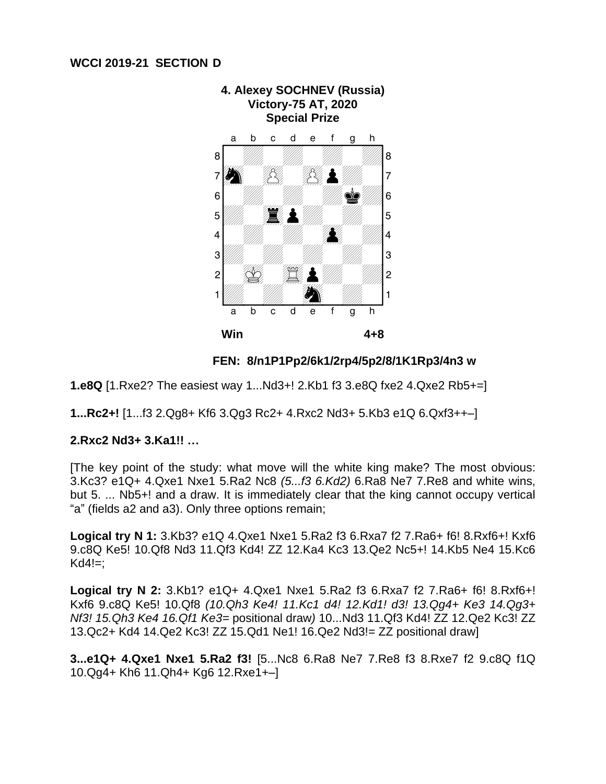

**FEN: 8/n1P1Pp2/6k1/2rp4/5p2/8/1K1Rp3/4n3 w**

**1.e8Q** [1.Rxe2? The easiest way 1...Nd3+! 2.Kb1 f3 3.e8Q fxe2 4.Qxe2 Rb5+=]

**1...Rc2+!** [1...f3 2.Qg8+ Kf6 3.Qg3 Rc2+ 4.Rxc2 Nd3+ 5.Kb3 e1Q 6.Qxf3++–]

## **2.Rxc2 Nd3+ 3.Ka1!! …**

[The key point of the study: what move will the white king make? The most obvious: 3.Kc3? e1Q+ 4.Qxe1 Nxe1 5.Ra2 Nc8 *(5...f3 6.Kd2)* 6.Ra8 Ne7 7.Re8 and white wins, but 5. ... Nb5+! and a draw. It is immediately clear that the king cannot occupy vertical "a" (fields a2 and a3). Only three options remain;

**Logical try N 1:** 3.Kb3? e1Q 4.Qxe1 Nxe1 5.Ra2 f3 6.Rxa7 f2 7.Ra6+ f6! 8.Rxf6+! Kxf6 9.c8Q Ke5! 10.Qf8 Nd3 11.Qf3 Kd4! ZZ 12.Ka4 Kc3 13.Qe2 Nc5+! 14.Kb5 Ne4 15.Kc6  $Kd4!=$ ;

**Logical try N 2:** 3.Kb1? e1Q+ 4.Qxe1 Nxe1 5.Ra2 f3 6.Rxa7 f2 7.Ra6+ f6! 8.Rxf6+! Kxf6 9.c8Q Ke5! 10.Qf8 *(10.Qh3 Ke4! 11.Kc1 d4! 12.Kd1! d3! 13.Qg4+ Ke3 14.Qg3+ Nf3! 15.Qh3 Ke4 16.Qf1 Ke3=* positional draw*)* 10...Nd3 11.Qf3 Kd4! ZZ 12.Qe2 Kc3! ZZ 13.Qc2+ Kd4 14.Qe2 Kc3! ZZ 15.Qd1 Ne1! 16.Qe2 Nd3!= ZZ positional draw]

**3...e1Q+ 4.Qxe1 Nxe1 5.Ra2 f3!** [5...Nc8 6.Ra8 Ne7 7.Re8 f3 8.Rxe7 f2 9.c8Q f1Q 10.Qg4+ Kh6 11.Qh4+ Kg6 12.Rxe1+–]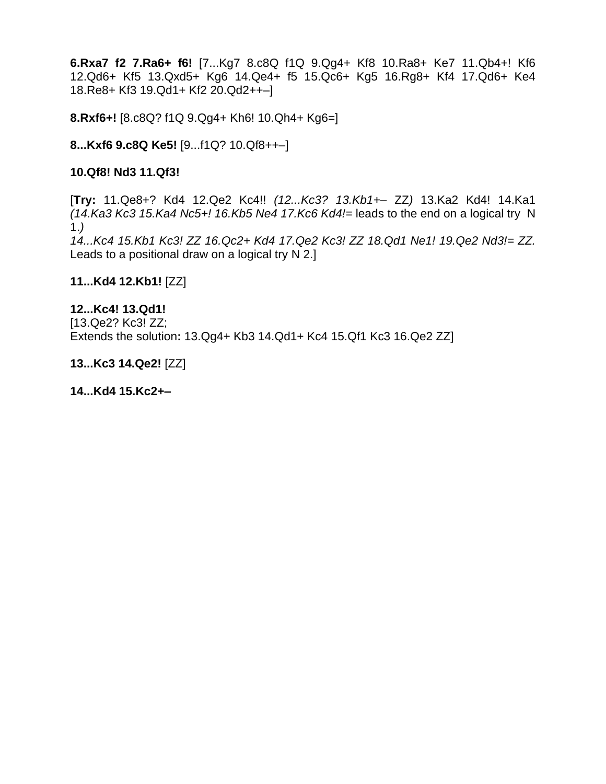**6.Rxa7 f2 7.Ra6+ f6!** [7...Kg7 8.c8Q f1Q 9.Qg4+ Kf8 10.Ra8+ Ke7 11.Qb4+! Kf6 12.Qd6+ Kf5 13.Qxd5+ Kg6 14.Qe4+ f5 15.Qc6+ Kg5 16.Rg8+ Kf4 17.Qd6+ Ke4 18.Re8+ Kf3 19.Qd1+ Kf2 20.Qd2++–]

**8.Rxf6+!** [8.c8Q? f1Q 9.Qg4+ Kh6! 10.Qh4+ Kg6=]

# **8...Kxf6 9.c8Q Ke5!** [9...f1Q? 10.Qf8++–]

## **10.Qf8! Nd3 11.Qf3!**

[**Try:** 11.Qe8+? Kd4 12.Qe2 Kc4!! *(12...Kc3? 13.Kb1+–* ZZ*)* 13.Ka2 Kd4! 14.Ka1 *(14.Ka3 Kc3 15.Ka4 Nc5+! 16.Kb5 Ne4 17.Kc6 Kd4!=* leads to the end on a logical try N 1.*)* 

*14...Kc4 15.Kb1 Kc3! ZZ 16.Qc2+ Kd4 17.Qe2 Kc3! ZZ 18.Qd1 Ne1! 19.Qe2 Nd3!= ZZ.* Leads to a positional draw on a logical try N 2.]

**11...Kd4 12.Kb1!** [ZZ]

**12...Kc4! 13.Qd1!**  [13.Qe2? Kc3! ZZ; Extends the solution**:** 13.Qg4+ Kb3 14.Qd1+ Kc4 15.Qf1 Kc3 16.Qe2 ZZ]

**13...Kc3 14.Qe2!** [ZZ]

**14...Kd4 15.Kc2+–**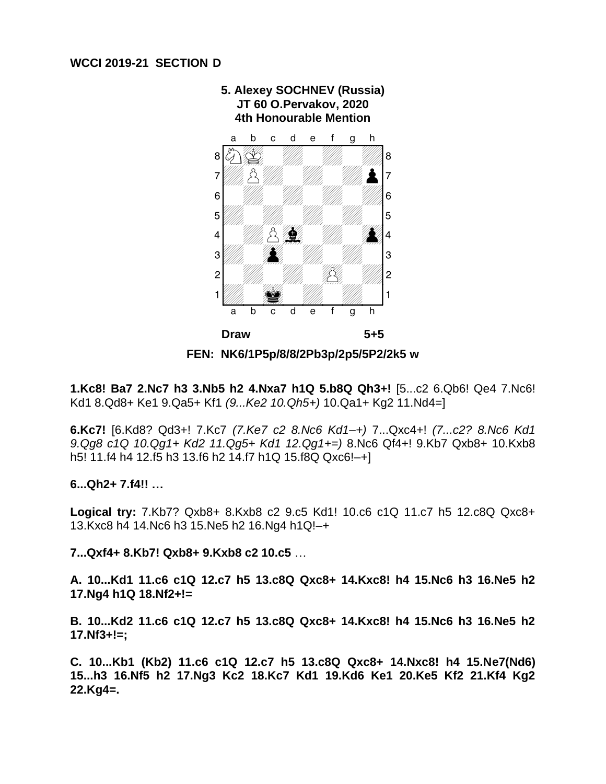

**5. Alexey SOCHNEV (Russia)**

**FEN: NK6/1P5p/8/8/2Pb3p/2p5/5P2/2k5 w**

**1.Kc8! Ba7 2.Nc7 h3 3.Nb5 h2 4.Nxa7 h1Q 5.b8Q Qh3+!** [5...c2 6.Qb6! Qe4 7.Nc6! Kd1 8.Qd8+ Ke1 9.Qa5+ Kf1 *(9...Ke2 10.Qh5+)* 10.Qa1+ Kg2 11.Nd4=]

**6.Kc7!** [6.Kd8? Qd3+! 7.Kc7 *(7.Ke7 c2 8.Nc6 Kd1–+)* 7...Qxc4+! *(7...c2? 8.Nc6 Kd1 9.Qg8 c1Q 10.Qg1+ Kd2 11.Qg5+ Kd1 12.Qg1+=)* 8.Nc6 Qf4+! 9.Kb7 Qxb8+ 10.Kxb8 h5! 11.f4 h4 12.f5 h3 13.f6 h2 14.f7 h1Q 15.f8Q Qxc6!–+]

#### **6...Qh2+ 7.f4!! …**

**Logical try:** 7.Kb7? Qxb8+ 8.Kxb8 c2 9.c5 Kd1! 10.c6 c1Q 11.c7 h5 12.c8Q Qxc8+ 13.Kxc8 h4 14.Nc6 h3 15.Ne5 h2 16.Ng4 h1Q!–+

## **7...Qxf4+ 8.Kb7! Qxb8+ 9.Kxb8 c2 10.c5** …

**A. 10...Kd1 11.c6 c1Q 12.c7 h5 13.c8Q Qxc8+ 14.Kxc8! h4 15.Nc6 h3 16.Ne5 h2 17.Ng4 h1Q 18.Nf2+!=**

**B. 10...Kd2 11.c6 c1Q 12.c7 h5 13.c8Q Qxc8+ 14.Kxc8! h4 15.Nc6 h3 16.Ne5 h2 17.Nf3+!=;** 

**C. 10...Kb1 (Kb2) 11.c6 c1Q 12.c7 h5 13.c8Q Qxc8+ 14.Nxc8! h4 15.Ne7(Nd6) 15...h3 16.Nf5 h2 17.Ng3 Kc2 18.Kc7 Kd1 19.Kd6 Ke1 20.Ke5 Kf2 21.Kf4 Kg2 22.Kg4=.**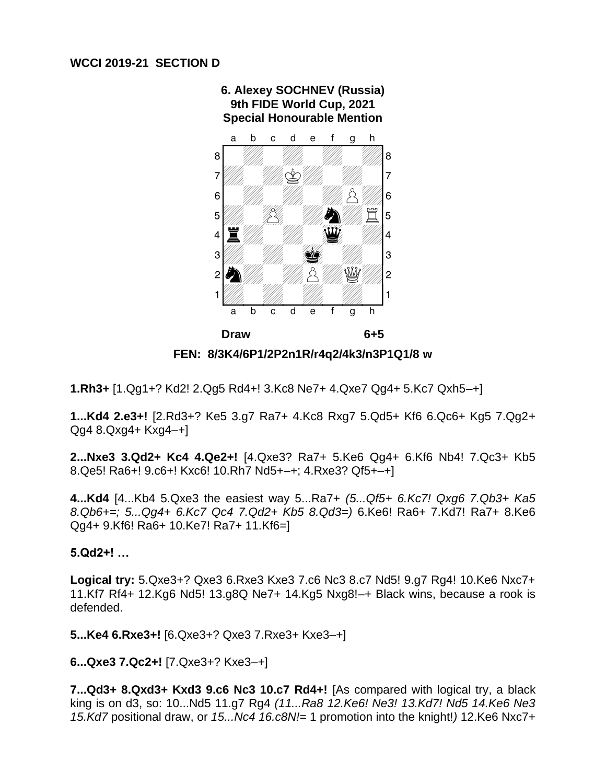

**6. Alexey SOCHNEV (Russia) 9th FIDE World Cup, 2021**

**FEN: 8/3K4/6P1/2P2n1R/r4q2/4k3/n3P1Q1/8 w**

**1.Rh3+** [1.Qg1+? Kd2! 2.Qg5 Rd4+! 3.Kc8 Ne7+ 4.Qxe7 Qg4+ 5.Kc7 Qxh5–+]

**1...Kd4 2.e3+!** [2.Rd3+? Ke5 3.g7 Ra7+ 4.Kc8 Rxg7 5.Qd5+ Kf6 6.Qc6+ Kg5 7.Qg2+ Qg4 8.Qxg4+ Kxg4–+]

**2...Nxe3 3.Qd2+ Kc4 4.Qe2+!** [4.Qxe3? Ra7+ 5.Ke6 Qg4+ 6.Kf6 Nb4! 7.Qc3+ Kb5 8.Qe5! Ra6+! 9.c6+! Kxc6! 10.Rh7 Nd5+–+; 4.Rxe3? Qf5+–+]

**4...Kd4** [4...Kb4 5.Qxe3 the easiest way 5...Ra7+ *(5...Qf5+ 6.Kc7! Qxg6 7.Qb3+ Ka5 8.Qb6+=; 5...Qg4+ 6.Kc7 Qc4 7.Qd2+ Kb5 8.Qd3=)* 6.Ke6! Ra6+ 7.Kd7! Ra7+ 8.Ke6 Qg4+ 9.Kf6! Ra6+ 10.Ke7! Ra7+ 11.Kf6=]

**5.Qd2+! …**

**Logical try:** 5.Qxe3+? Qxe3 6.Rxe3 Kxe3 7.c6 Nc3 8.c7 Nd5! 9.g7 Rg4! 10.Ke6 Nxc7+ 11.Kf7 Rf4+ 12.Kg6 Nd5! 13.g8Q Ne7+ 14.Kg5 Nxg8!–+ Black wins, because a rook is defended.

**5...Ke4 6.Rxe3+!** [6.Qxe3+? Qxe3 7.Rxe3+ Kxe3–+]

**6...Qxe3 7.Qc2+!** [7.Qxe3+? Kxe3–+]

**7...Qd3+ 8.Qxd3+ Kxd3 9.c6 Nc3 10.c7 Rd4+!** [As compared with logical try, a black king is on d3, so: 10...Nd5 11.g7 Rg4 *(11...Ra8 12.Ke6! Ne3! 13.Kd7! Nd5 14.Ke6 Ne3 15.Kd7* positional draw, or *15...Nc4 16.c8N!=* 1 promotion into the knight!*)* 12.Ke6 Nxc7+